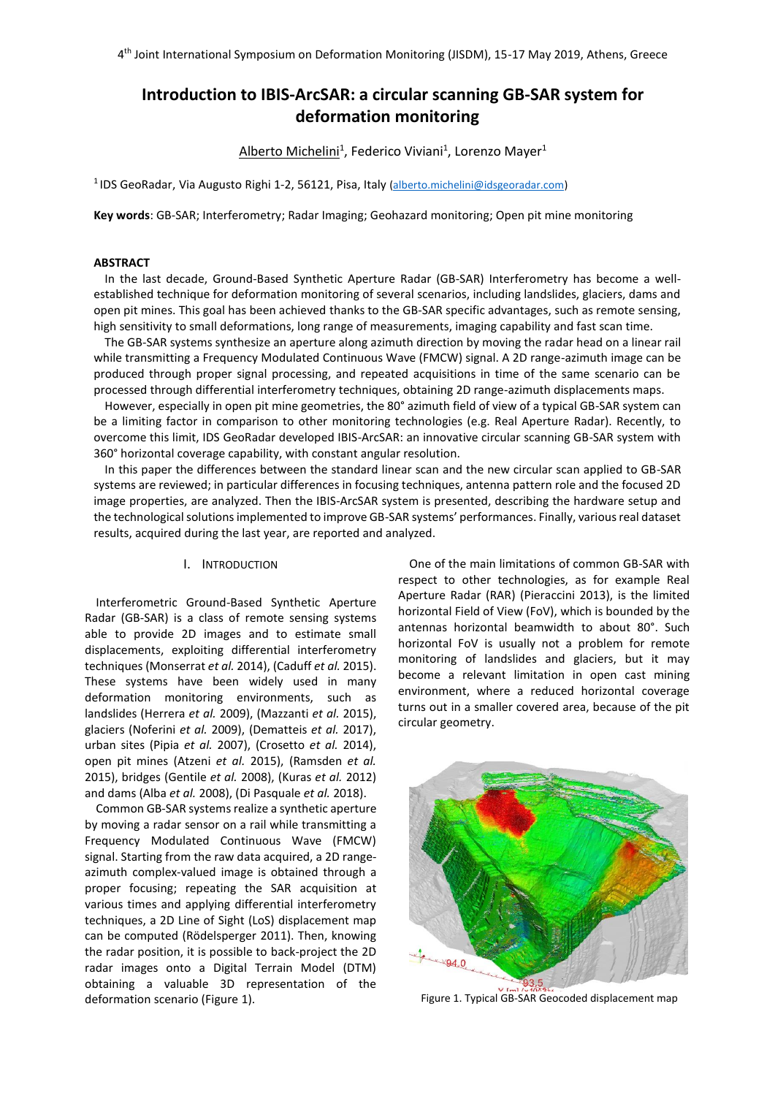# **Introduction to IBIS-ArcSAR: a circular scanning GB-SAR system for deformation monitoring**

<u>Alberto Michelini</u><sup>1</sup>, Federico Viviani<sup>1</sup>, Lorenzo Mayer<sup>1</sup>

<sup>1</sup> IDS GeoRadar, Via Augusto Righi 1-2, 56121, Pisa, Italy [\(alberto.michelini@idsgeoradar.com\)](mailto:alberto.michelini@idsgeoradar.com)

**Key words**: GB-SAR; Interferometry; Radar Imaging; Geohazard monitoring; Open pit mine monitoring

# **ABSTRACT**

In the last decade, Ground-Based Synthetic Aperture Radar (GB-SAR) Interferometry has become a wellestablished technique for deformation monitoring of several scenarios, including landslides, glaciers, dams and open pit mines. This goal has been achieved thanks to the GB-SAR specific advantages, such as remote sensing, high sensitivity to small deformations, long range of measurements, imaging capability and fast scan time.

The GB-SAR systems synthesize an aperture along azimuth direction by moving the radar head on a linear rail while transmitting a Frequency Modulated Continuous Wave (FMCW) signal. A 2D range-azimuth image can be produced through proper signal processing, and repeated acquisitions in time of the same scenario can be processed through differential interferometry techniques, obtaining 2D range-azimuth displacements maps.

However, especially in open pit mine geometries, the 80° azimuth field of view of a typical GB-SAR system can be a limiting factor in comparison to other monitoring technologies (e.g. Real Aperture Radar). Recently, to overcome this limit, IDS GeoRadar developed IBIS-ArcSAR: an innovative circular scanning GB-SAR system with 360° horizontal coverage capability, with constant angular resolution.

In this paper the differences between the standard linear scan and the new circular scan applied to GB-SAR systems are reviewed; in particular differences in focusing techniques, antenna pattern role and the focused 2D image properties, are analyzed. Then the IBIS-ArcSAR system is presented, describing the hardware setup and the technological solutions implemented to improve GB-SAR systems' performances. Finally, various real dataset results, acquired during the last year, are reported and analyzed.

## I. INTRODUCTION

Interferometric Ground-Based Synthetic Aperture Radar (GB-SAR) is a class of remote sensing systems able to provide 2D images and to estimate small displacements, exploiting differential interferometry techniques (Monserrat *et al.* 2014), (Caduff *et al.* 2015). These systems have been widely used in many deformation monitoring environments, such as landslides (Herrera *et al.* 2009), (Mazzanti *et al.* 2015), glaciers (Noferini *et al.* 2009), (Dematteis *et al.* 2017), urban sites (Pipia *et al.* 2007), (Crosetto *et al.* 2014), open pit mines (Atzeni *et al.* 2015), (Ramsden *et al.* 2015), bridges (Gentile *et al.* 2008), (Kuras *et al.* 2012) and dams (Alba *et al.* 2008), (Di Pasquale *et al.* 2018).

Common GB-SAR systems realize a synthetic aperture by moving a radar sensor on a rail while transmitting a Frequency Modulated Continuous Wave (FMCW) signal. Starting from the raw data acquired, a 2D rangeazimuth complex-valued image is obtained through a proper focusing; repeating the SAR acquisition at various times and applying differential interferometry techniques, a 2D Line of Sight (LoS) displacement map can be computed (Rödelsperger 2011). Then, knowing the radar position, it is possible to back-project the 2D radar images onto a Digital Terrain Model (DTM) obtaining a valuable 3D representation of the deformation scenario (Figure 1).

One of the main limitations of common GB-SAR with respect to other technologies, as for example Real Aperture Radar (RAR) (Pieraccini 2013), is the limited horizontal Field of View (FoV), which is bounded by the antennas horizontal beamwidth to about 80°. Such horizontal FoV is usually not a problem for remote monitoring of landslides and glaciers, but it may become a relevant limitation in open cast mining environment, where a reduced horizontal coverage turns out in a smaller covered area, because of the pit circular geometry.



Figure 1. Typical GB-SAR Geocoded displacement map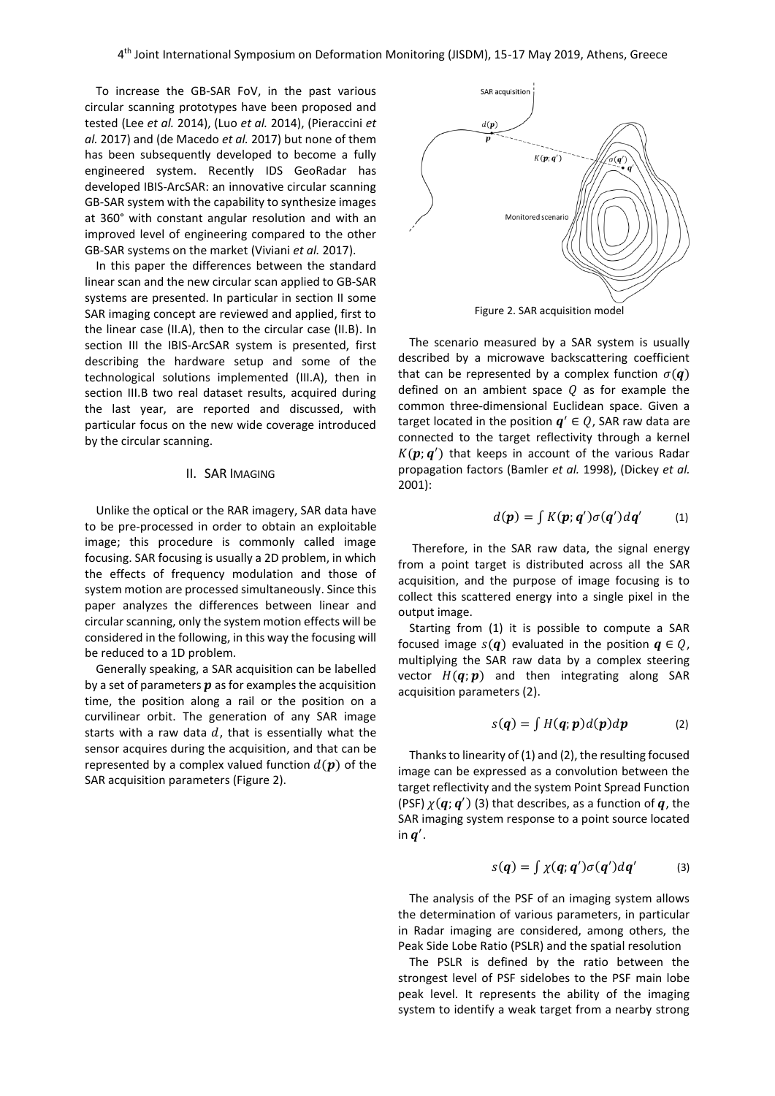To increase the GB-SAR FoV, in the past various circular scanning prototypes have been proposed and tested (Lee *et al.* 2014), (Luo *et al.* 2014), (Pieraccini *et al.* 2017) and (de Macedo *et al.* 2017) but none of them has been subsequently developed to become a fully engineered system. Recently IDS GeoRadar has developed IBIS-ArcSAR: an innovative circular scanning GB-SAR system with the capability to synthesize images at 360° with constant angular resolution and with an improved level of engineering compared to the other GB-SAR systems on the market (Viviani *et al.* 2017).

In this paper the differences between the standard linear scan and the new circular scan applied to GB-SAR systems are presented. In particular in section II some SAR imaging concept are reviewed and applied, first to the linear case (II.A), then to the circular case (II.B). In section III the IBIS-ArcSAR system is presented, first describing the hardware setup and some of the technological solutions implemented (III.A), then in section III.B two real dataset results, acquired during the last year, are reported and discussed, with particular focus on the new wide coverage introduced by the circular scanning.

#### II. SAR IMAGING

Unlike the optical or the RAR imagery, SAR data have to be pre-processed in order to obtain an exploitable image; this procedure is commonly called image focusing. SAR focusing is usually a 2D problem, in which the effects of frequency modulation and those of system motion are processed simultaneously. Since this paper analyzes the differences between linear and circular scanning, only the system motion effects will be considered in the following, in this way the focusing will be reduced to a 1D problem.

Generally speaking, a SAR acquisition can be labelled by a set of parameters  $\boldsymbol{p}$  as for examples the acquisition time, the position along a rail or the position on a curvilinear orbit. The generation of any SAR image starts with a raw data  $d$ , that is essentially what the sensor acquires during the acquisition, and that can be represented by a complex valued function  $d(p)$  of the SAR acquisition parameters (Figure 2).



Figure 2. SAR acquisition model

The scenario measured by a SAR system is usually described by a microwave backscattering coefficient that can be represented by a complex function  $\sigma(q)$ defined on an ambient space  $Q$  as for example the common three-dimensional Euclidean space. Given a target located in the position  $q' \in Q$ , SAR raw data are connected to the target reflectivity through a kernel  $K(\boldsymbol{p};\boldsymbol{q}')$  that keeps in account of the various Radar propagation factors (Bamler *et al.* 1998), (Dickey *et al.* 2001):

$$
d(\boldsymbol{p}) = \int K(\boldsymbol{p}; \boldsymbol{q}') \sigma(\boldsymbol{q}') d\boldsymbol{q}' \qquad (1)
$$

Therefore, in the SAR raw data, the signal energy from a point target is distributed across all the SAR acquisition, and the purpose of image focusing is to collect this scattered energy into a single pixel in the output image.

Starting from (1) it is possible to compute a SAR focused image  $s(q)$  evaluated in the position  $q \in Q$ , multiplying the SAR raw data by a complex steering vector  $H(q; p)$  and then integrating along SAR acquisition parameters (2).

$$
s(\boldsymbol{q}) = \int H(\boldsymbol{q};\boldsymbol{p})d(\boldsymbol{p})d\boldsymbol{p} \qquad (2)
$$

Thanks to linearity of (1) and (2), the resulting focused image can be expressed as a convolution between the target reflectivity and the system Point Spread Function (PSF)  $\chi(q; q')$  (3) that describes, as a function of  $q$ , the SAR imaging system response to a point source located in  $q'$ .

$$
s(\boldsymbol{q}) = \int \chi(\boldsymbol{q}; \boldsymbol{q}') \sigma(\boldsymbol{q}') d\boldsymbol{q}' \qquad (3)
$$

The analysis of the PSF of an imaging system allows the determination of various parameters, in particular in Radar imaging are considered, among others, the Peak Side Lobe Ratio (PSLR) and the spatial resolution

The PSLR is defined by the ratio between the strongest level of PSF sidelobes to the PSF main lobe peak level. It represents the ability of the imaging system to identify a weak target from a nearby strong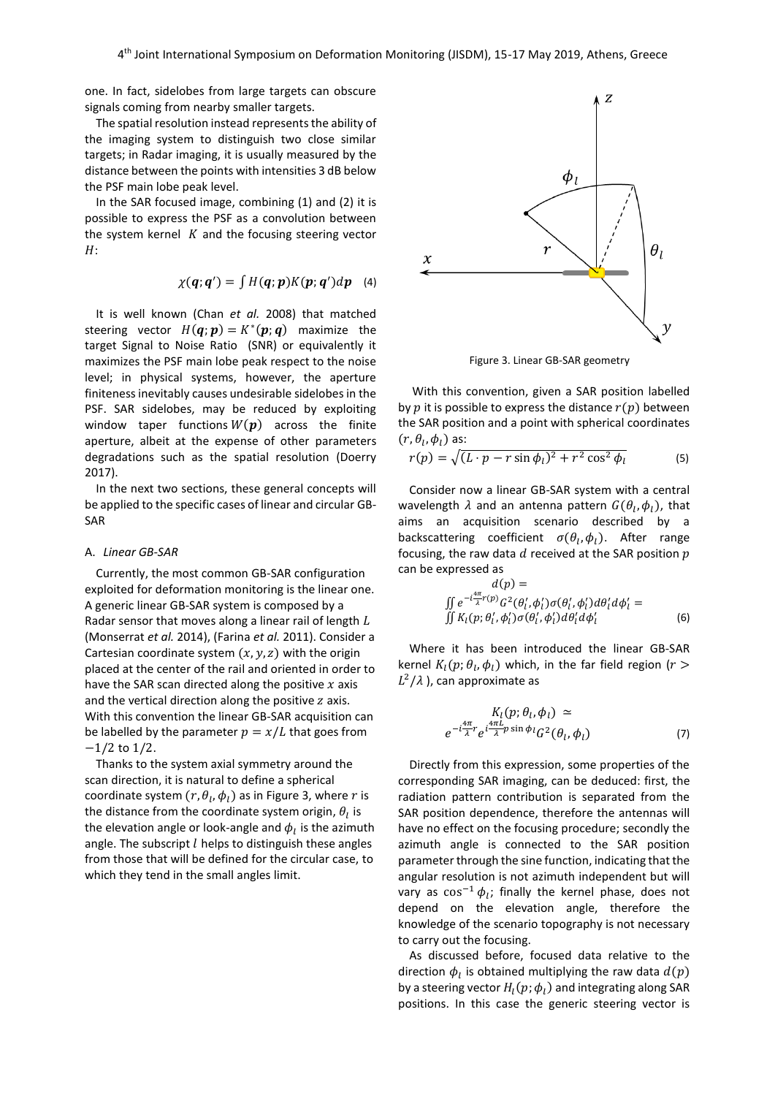one. In fact, sidelobes from large targets can obscure signals coming from nearby smaller targets.

The spatial resolution instead represents the ability of the imaging system to distinguish two close similar targets; in Radar imaging, it is usually measured by the distance between the points with intensities 3 dB below the PSF main lobe peak level.

In the SAR focused image, combining (1) and (2) it is possible to express the PSF as a convolution between the system kernel  $K$  and the focusing steering vector  $H$ :

$$
\chi(\boldsymbol{q};\boldsymbol{q}') = \int H(\boldsymbol{q};\boldsymbol{p})K(\boldsymbol{p};\boldsymbol{q}')d\boldsymbol{p} \quad (4)
$$

It is well known (Chan *et al.* 2008) that matched steering vector  $H(q; p) = K^*(p; q)$  maximize the target Signal to Noise Ratio (SNR) or equivalently it maximizes the PSF main lobe peak respect to the noise level; in physical systems, however, the aperture finiteness inevitably causes undesirable sidelobes in the PSF. SAR sidelobes, may be reduced by exploiting window taper functions  $W(p)$  across the finite aperture, albeit at the expense of other parameters degradations such as the spatial resolution (Doerry 2017).

In the next two sections, these general concepts will be applied to the specific cases of linear and circular GB-SAR

## A. *Linear GB-SAR*

Currently, the most common GB-SAR configuration exploited for deformation monitoring is the linear one. A generic linear GB-SAR system is composed by a Radar sensor that moves along a linear rail of length  $L$ (Monserrat *et al.* 2014), (Farina *et al.* 2011). Consider a Cartesian coordinate system  $(x, y, z)$  with the origin placed at the center of the rail and oriented in order to have the SAR scan directed along the positive  $x$  axis and the vertical direction along the positive  $z$  axis. With this convention the linear GB-SAR acquisition can be labelled by the parameter  $p = x/L$  that goes from −1/2 to 1/2.

Thanks to the system axial symmetry around the scan direction, it is natural to define a spherical coordinate system  $(r, \theta_l, \phi_l)$  as in Figure 3, where  $r$  is the distance from the coordinate system origin,  $\theta_l$  is the elevation angle or look-angle and  $\phi_l$  is the azimuth angle. The subscript  $l$  helps to distinguish these angles from those that will be defined for the circular case, to which they tend in the small angles limit.



Figure 3. Linear GB-SAR geometry

With this convention, given a SAR position labelled by p it is possible to express the distance  $r(p)$  between the SAR position and a point with spherical coordinates  $(r, \theta_l, \phi_l)$  as:

$$
r(p) = \sqrt{(L \cdot p - r \sin \phi_l)^2 + r^2 \cos^2 \phi_l}
$$
 (5)

Consider now a linear GB-SAR system with a central wavelength  $\lambda$  and an antenna pattern  $G(\theta_l, \phi_l)$ , that aims an acquisition scenario described by a backscattering coefficient  $\sigma(\theta_l,\phi_l)$ . After range focusing, the raw data  $d$  received at the SAR position  $p$ can be expressed as

$$
d(p) =
$$
  
\n
$$
\iint e^{-i\frac{4\pi}{\lambda}r(p)} G^{2}(\theta'_{l}, \phi'_{l}) \sigma(\theta'_{l}, \phi'_{l}) d\theta'_{l} d\phi'_{l} =
$$
  
\n
$$
\iint K_{l}(p; \theta'_{l}, \phi'_{l}) \sigma(\theta'_{l}, \phi'_{l}) d\theta'_{l} d\phi'_{l}
$$
\n(6)

Where it has been introduced the linear GB-SAR kernel  $K_l(p; \theta_l, \phi_l)$  which, in the far field region ( $r >$  $L^2/\lambda$  ), can approximate as

$$
K_l(p; \theta_l, \phi_l) \simeq
$$
  

$$
e^{-i\frac{4\pi}{\lambda}} e^{i\frac{4\pi L}{\lambda} p \sin \phi_l} G^2(\theta_l, \phi_l)
$$
 (7)

Directly from this expression, some properties of the corresponding SAR imaging, can be deduced: first, the radiation pattern contribution is separated from the SAR position dependence, therefore the antennas will have no effect on the focusing procedure; secondly the azimuth angle is connected to the SAR position parameter through the sine function, indicating that the angular resolution is not azimuth independent but will vary as  $cos^{-1}\phi_i$ ; finally the kernel phase, does not depend on the elevation angle, therefore the knowledge of the scenario topography is not necessary to carry out the focusing.

As discussed before, focused data relative to the direction  $\phi_l$  is obtained multiplying the raw data  $d(p)$ by a steering vector  $H_l(p; \phi_l)$  and integrating along SAR positions. In this case the generic steering vector is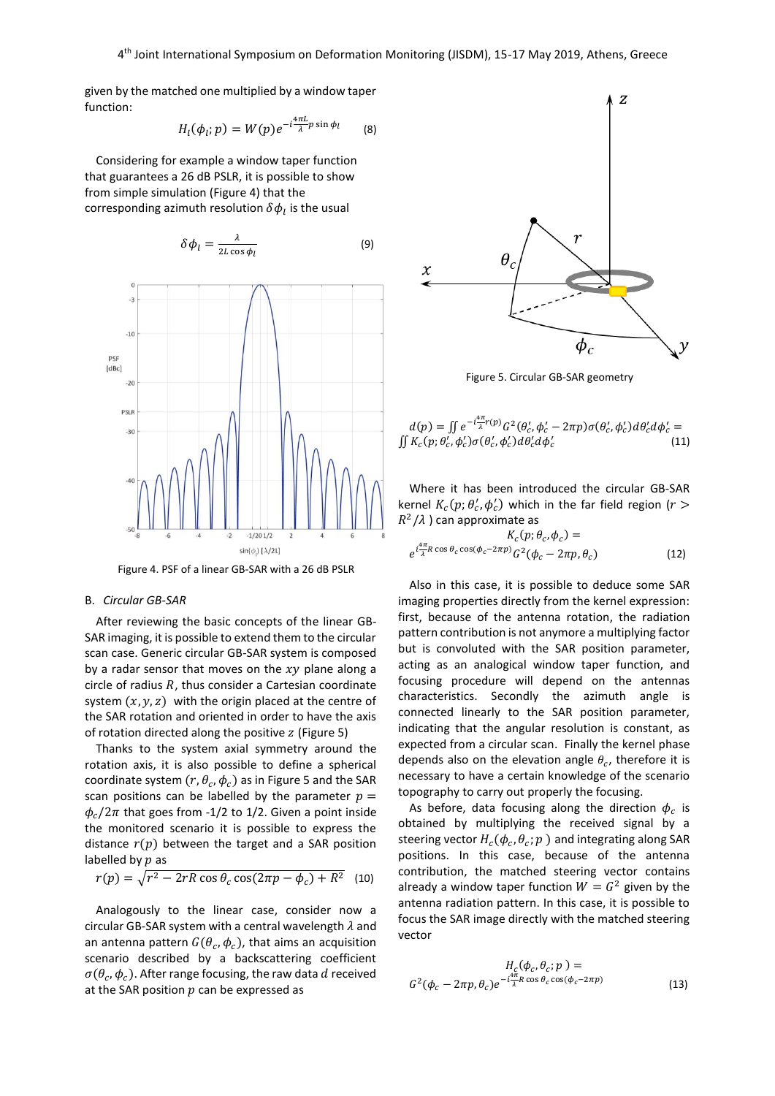given by the matched one multiplied by a window taper function:  $4\pi l$ 

$$
H_l(\phi_l; p) = W(p)e^{-i\frac{\pi n}{\lambda}p\sin\phi_l} \qquad (8)
$$

Considering for example a window taper function that guarantees a 26 dB PSLR, it is possible to show from simple simulation (Figure 4) that the corresponding azimuth resolution  $\delta \phi_l$  is the usual

$$
\delta \phi_l = \frac{\lambda}{2L \cos \phi_l} \tag{9}
$$



Figure 4. PSF of a linear GB-SAR with a 26 dB PSLR

#### B. *Circular GB-SAR*

After reviewing the basic concepts of the linear GB-SAR imaging, it is possible to extend them to the circular scan case. Generic circular GB-SAR system is composed by a radar sensor that moves on the  $xy$  plane along a circle of radius  $R$ , thus consider a Cartesian coordinate system  $(x, y, z)$  with the origin placed at the centre of the SAR rotation and oriented in order to have the axis of rotation directed along the positive  $z$  (Figure 5)

Thanks to the system axial symmetry around the rotation axis, it is also possible to define a spherical coordinate system  $(r, \theta_c, \phi_c)$  as in Figure 5 and the SAR scan positions can be labelled by the parameter  $p =$  $\phi_c/2\pi$  that goes from -1/2 to 1/2. Given a point inside the monitored scenario it is possible to express the distance  $r(p)$  between the target and a SAR position labelled by  $p$  as

$$
r(p) = \sqrt{r^2 - 2rR\cos\theta_c\cos(2\pi p - \phi_c) + R^2}
$$
 (10)

Analogously to the linear case, consider now a circular GB-SAR system with a central wavelength  $\lambda$  and an antenna pattern  $G(\theta_c, \phi_c)$ , that aims an acquisition scenario described by a backscattering coefficient  $\sigma(\theta_c, \phi_c)$ . After range focusing, the raw data  $d$  received at the SAR position  $p$  can be expressed as



Figure 5. Circular GB-SAR geometry

$$
d(p) = \iint e^{-i\frac{4\pi}{\lambda}r(p)} G^2(\theta_c', \phi_c' - 2\pi p) \sigma(\theta_c', \phi_c') d\theta_c' d\phi_c' = \iint K_c(p; \theta_c', \phi_c') \sigma(\theta_c', \phi_c') d\theta_c' d\phi_c'
$$
\n(11)

Where it has been introduced the circular GB-SAR kernel  $K_c(p; \theta'_c, \phi'_c)$  which in the far field region ( $r >$  $R^2/\lambda$  ) can approximate as

$$
K_c(p; \theta_c, \phi_c) =
$$
  

$$
e^{i\frac{4\pi}{\lambda}R\cos\theta_c\cos(\phi_c - 2\pi p)}G^2(\phi_c - 2\pi p, \theta_c)
$$
 (12)

Also in this case, it is possible to deduce some SAR imaging properties directly from the kernel expression: first, because of the antenna rotation, the radiation pattern contribution is not anymore a multiplying factor but is convoluted with the SAR position parameter, acting as an analogical window taper function, and focusing procedure will depend on the antennas characteristics. Secondly the azimuth angle is connected linearly to the SAR position parameter, indicating that the angular resolution is constant, as expected from a circular scan. Finally the kernel phase depends also on the elevation angle  $\theta_c$ , therefore it is necessary to have a certain knowledge of the scenario topography to carry out properly the focusing.

As before, data focusing along the direction  $\phi_c$  is obtained by multiplying the received signal by a steering vector  $H_c(\phi_c, \theta_c; p$  ) and integrating along SAR positions. In this case, because of the antenna contribution, the matched steering vector contains already a window taper function  $W = G^2$  given by the antenna radiation pattern. In this case, it is possible to focus the SAR image directly with the matched steering vector

$$
H_c(\phi_c, \theta_c; p) =
$$
  
\n
$$
G^2(\phi_c - 2\pi p, \theta_c)e^{-i\frac{4\pi}{\lambda}R\cos\theta_c\cos(\phi_c - 2\pi p)}
$$
\n(13)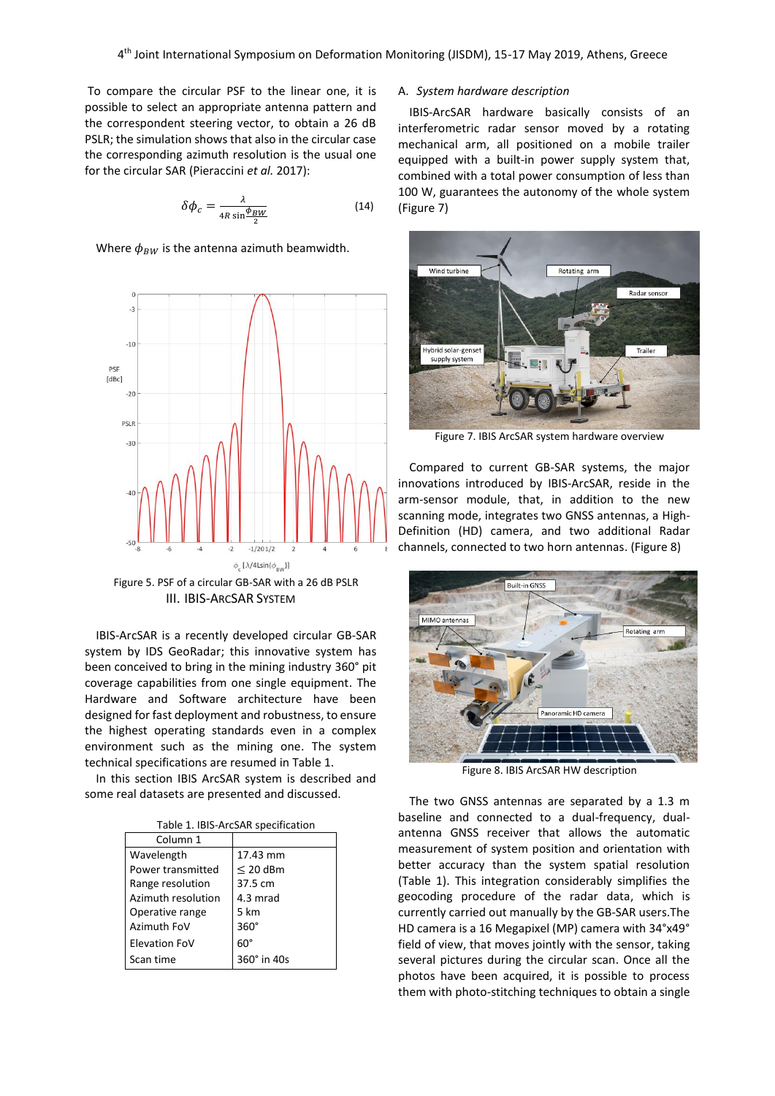To compare the circular PSF to the linear one, it is possible to select an appropriate antenna pattern and the correspondent steering vector, to obtain a 26 dB PSLR; the simulation shows that also in the circular case the corresponding azimuth resolution is the usual one for the circular SAR (Pieraccini *et al.* 2017):

$$
\delta \phi_c = \frac{\lambda}{4R \sin \frac{\phi_{BW}}{2}} \tag{14}
$$

Where  $\phi_{BW}$  is the antenna azimuth beamwidth.



IBIS-ArcSAR is a recently developed circular GB-SAR system by IDS GeoRadar; this innovative system has been conceived to bring in the mining industry 360° pit coverage capabilities from one single equipment. The Hardware and Software architecture have been designed for fast deployment and robustness, to ensure the highest operating standards even in a complex environment such as the mining one. The system technical specifications are resumed in Table 1.

In this section IBIS ArcSAR system is described and some real datasets are presented and discussed.

Table 1. IBIS-ArcSAR specification

| Column 1           |                      |
|--------------------|----------------------|
| Wavelength         | 17.43 mm             |
| Power transmitted  | $\leq$ 20 dBm        |
| Range resolution   | 37.5 cm              |
| Azimuth resolution | 4.3 mrad             |
| Operative range    | 5 km                 |
| Azimuth FoV        | $360^\circ$          |
| Elevation FoV      | 60°                  |
| Scan time          | $360^\circ$ in $40s$ |

### A. *System hardware description*

IBIS-ArcSAR hardware basically consists of an interferometric radar sensor moved by a rotating mechanical arm, all positioned on a mobile trailer equipped with a built-in power supply system that, combined with a total power consumption of less than 100 W, guarantees the autonomy of the whole system (Figure 7)



Figure 7. IBIS ArcSAR system hardware overview

Compared to current GB-SAR systems, the major innovations introduced by IBIS-ArcSAR, reside in the arm-sensor module, that, in addition to the new scanning mode, integrates two GNSS antennas, a High-Definition (HD) camera, and two additional Radar channels, connected to two horn antennas. (Figure 8)



Figure 8. IBIS ArcSAR HW description

The two GNSS antennas are separated by a 1.3 m baseline and connected to a dual-frequency, dualantenna GNSS receiver that allows the automatic measurement of system position and orientation with better accuracy than the system spatial resolution (Table 1). This integration considerably simplifies the geocoding procedure of the radar data, which is currently carried out manually by the GB-SAR users.The HD camera is a 16 Megapixel (MP) camera with 34°x49° field of view, that moves jointly with the sensor, taking several pictures during the circular scan. Once all the photos have been acquired, it is possible to process them with photo-stitching techniques to obtain a single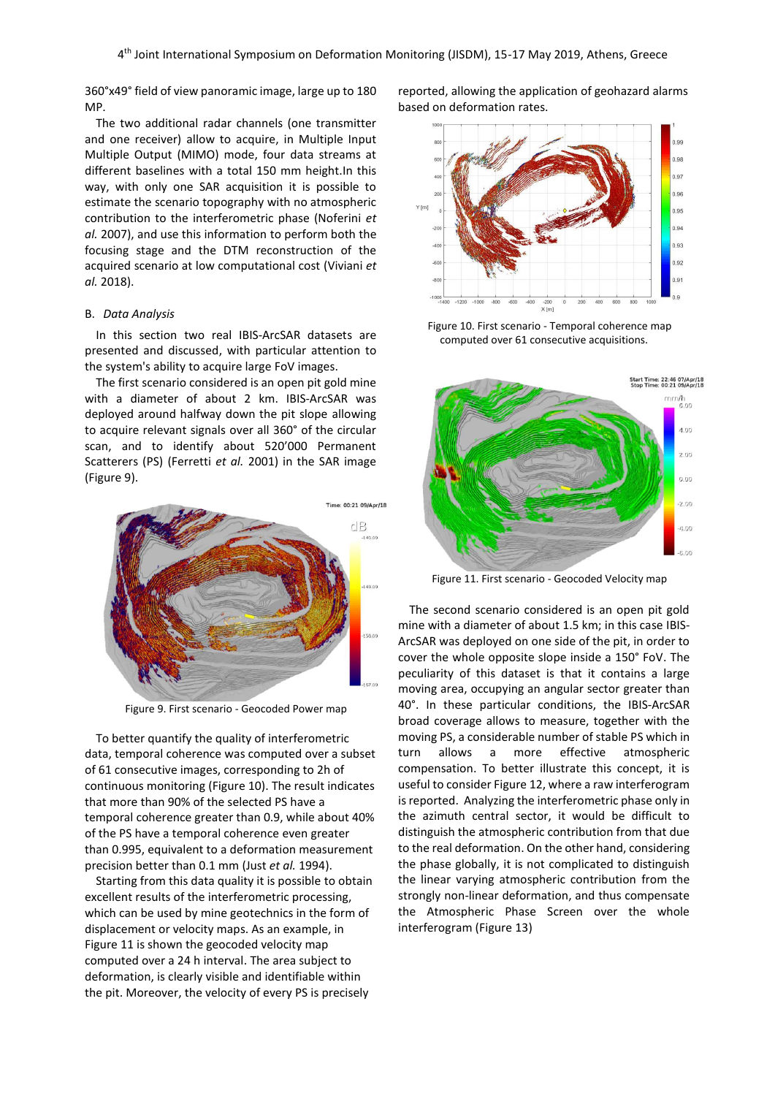360°x49° field of view panoramic image, large up to 180 MP.

The two additional radar channels (one transmitter and one receiver) allow to acquire, in Multiple Input Multiple Output (MIMO) mode, four data streams at different baselines with a total 150 mm height.In this way, with only one SAR acquisition it is possible to estimate the scenario topography with no atmospheric contribution to the interferometric phase (Noferini *et al.* 2007), and use this information to perform both the focusing stage and the DTM reconstruction of the acquired scenario at low computational cost (Viviani *et al.* 2018).

## B. *Data Analysis*

In this section two real IBIS-ArcSAR datasets are presented and discussed, with particular attention to the system's ability to acquire large FoV images.

The first scenario considered is an open pit gold mine with a diameter of about 2 km. IBIS-ArcSAR was deployed around halfway down the pit slope allowing to acquire relevant signals over all 360° of the circular scan, and to identify about 520'000 Permanent Scatterers (PS) (Ferretti *et al.* 2001) in the SAR image (Figure 9).



Figure 9. First scenario - Geocoded Power map

To better quantify the quality of interferometric data, temporal coherence was computed over a subset of 61 consecutive images, corresponding to 2h of continuous monitoring (Figure 10). The result indicates that more than 90% of the selected PS have a temporal coherence greater than 0.9, while about 40% of the PS have a temporal coherence even greater than 0.995, equivalent to a deformation measurement precision better than 0.1 mm (Just *et al.* 1994).

Starting from this data quality it is possible to obtain excellent results of the interferometric processing, which can be used by mine geotechnics in the form of displacement or velocity maps. As an example, in Figure 11 is shown the geocoded velocity map computed over a 24 h interval. The area subject to deformation, is clearly visible and identifiable within the pit. Moreover, the velocity of every PS is precisely

reported, allowing the application of geohazard alarms based on deformation rates.



Figure 10. First scenario - Temporal coherence map computed over 61 consecutive acquisitions.



Figure 11. First scenario - Geocoded Velocity map

The second scenario considered is an open pit gold mine with a diameter of about 1.5 km; in this case IBIS-ArcSAR was deployed on one side of the pit, in order to cover the whole opposite slope inside a 150° FoV. The peculiarity of this dataset is that it contains a large moving area, occupying an angular sector greater than 40°. In these particular conditions, the IBIS-ArcSAR broad coverage allows to measure, together with the moving PS, a considerable number of stable PS which in turn allows a more effective atmospheric compensation. To better illustrate this concept, it is useful to consider Figure 12, where a raw interferogram is reported. Analyzing the interferometric phase only in the azimuth central sector, it would be difficult to distinguish the atmospheric contribution from that due to the real deformation. On the other hand, considering the phase globally, it is not complicated to distinguish the linear varying atmospheric contribution from the strongly non-linear deformation, and thus compensate the Atmospheric Phase Screen over the whole interferogram (Figure 13)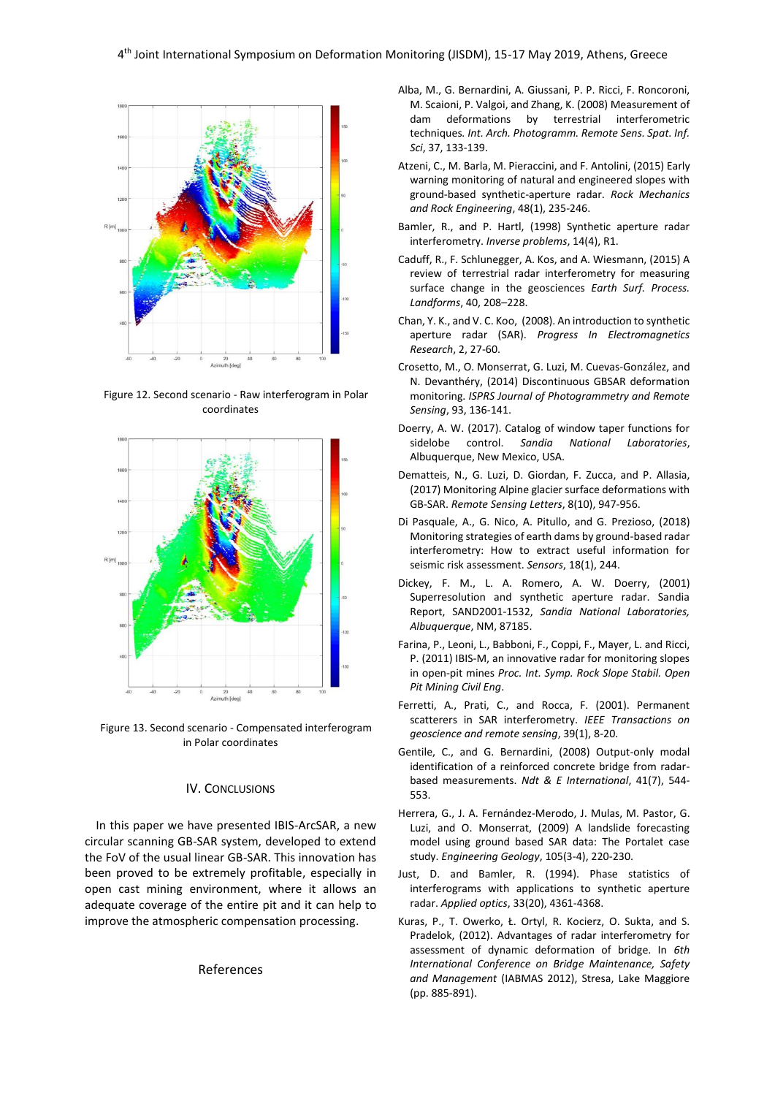

Figure 12. Second scenario - Raw interferogram in Polar coordinates



Figure 13. Second scenario - Compensated interferogram in Polar coordinates

# IV. CONCLUSIONS

In this paper we have presented IBIS-ArcSAR, a new circular scanning GB-SAR system, developed to extend the FoV of the usual linear GB-SAR. This innovation has been proved to be extremely profitable, especially in open cast mining environment, where it allows an adequate coverage of the entire pit and it can help to improve the atmospheric compensation processing.

# References

- Alba, M., G. Bernardini, A. Giussani, P. P. Ricci, F. Roncoroni, M. Scaioni, P. Valgoi, and Zhang, K. (2008) Measurement of dam deformations by terrestrial interferometric techniques*. Int. Arch. Photogramm. Remote Sens. Spat. Inf. Sci*, 37, 133-139.
- Atzeni, C., M. Barla, M. Pieraccini, and F. Antolini, (2015) Early warning monitoring of natural and engineered slopes with ground-based synthetic-aperture radar. *Rock Mechanics and Rock Engineering*, 48(1), 235-246.
- Bamler, R., and P. Hartl, (1998) Synthetic aperture radar interferometry. *Inverse problems*, 14(4), R1.
- Caduff, R., F. Schlunegger, A. Kos, and A. Wiesmann, (2015) A review of terrestrial radar interferometry for measuring surface change in the geosciences *Earth Surf. Process. Landforms*, 40, 208–228.
- Chan, Y. K., and V. C. Koo, (2008). An introduction to synthetic aperture radar (SAR). *Progress In Electromagnetics Research*, 2, 27-60.
- Crosetto, M., O. Monserrat, G. Luzi, M. Cuevas-González, and N. Devanthéry, (2014) Discontinuous GBSAR deformation monitoring. *ISPRS Journal of Photogrammetry and Remote Sensing*, 93, 136-141.
- Doerry, A. W. (2017). Catalog of window taper functions for sidelobe control. *Sandia National Laboratories*, Albuquerque, New Mexico, USA.
- Dematteis, N., G. Luzi, D. Giordan, F. Zucca, and P. Allasia, (2017) Monitoring Alpine glacier surface deformations with GB-SAR. *Remote Sensing Letters*, 8(10), 947-956.
- Di Pasquale, A., G. Nico, A. Pitullo, and G. Prezioso, (2018) Monitoring strategies of earth dams by ground-based radar interferometry: How to extract useful information for seismic risk assessment. *Sensors*, 18(1), 244.
- Dickey, F. M., L. A. Romero, A. W. Doerry, (2001) Superresolution and synthetic aperture radar. Sandia Report, SAND2001-1532, *Sandia National Laboratories, Albuquerque*, NM, 87185.
- Farina, P., Leoni, L., Babboni, F., Coppi, F., Mayer, L. and Ricci, P. (2011) IBIS-M, an innovative radar for monitoring slopes in open-pit mines *Proc. Int. Symp. Rock Slope Stabil. Open Pit Mining Civil Eng*.
- Ferretti, A., Prati, C., and Rocca, F. (2001). Permanent scatterers in SAR interferometry. *IEEE Transactions on geoscience and remote sensing*, 39(1), 8-20.
- Gentile, C., and G. Bernardini, (2008) Output-only modal identification of a reinforced concrete bridge from radarbased measurements. *Ndt & E International*, 41(7), 544- 553.
- Herrera, G., J. A. Fernández-Merodo, J. Mulas, M. Pastor, G. Luzi, and O. Monserrat, (2009) A landslide forecasting model using ground based SAR data: The Portalet case study. *Engineering Geology*, 105(3-4), 220-230.
- Just, D. and Bamler, R. (1994). Phase statistics of interferograms with applications to synthetic aperture radar. *Applied optics*, 33(20), 4361-4368.
- Kuras, P., T. Owerko, Ł. Ortyl, R. Kocierz, O. Sukta, and S. Pradelok, (2012). Advantages of radar interferometry for assessment of dynamic deformation of bridge. In *6th International Conference on Bridge Maintenance, Safety and Management* (IABMAS 2012), Stresa, Lake Maggiore (pp. 885-891).